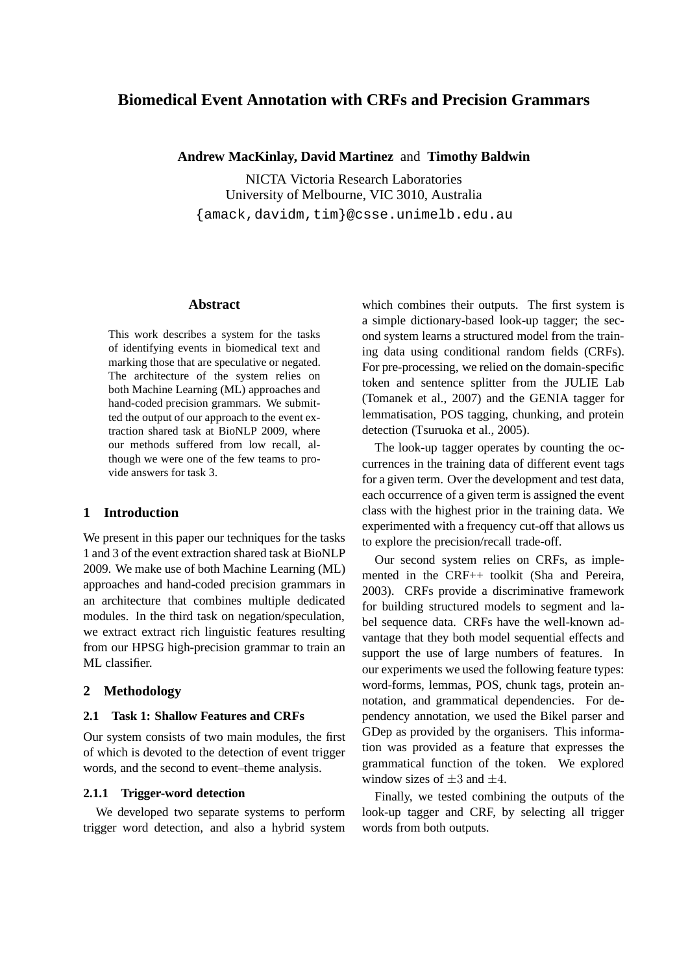# **Biomedical Event Annotation with CRFs and Precision Grammars**

### **Andrew MacKinlay, David Martinez** and **Timothy Baldwin**

NICTA Victoria Research Laboratories University of Melbourne, VIC 3010, Australia {amack,davidm,tim}@csse.unimelb.edu.au

### **Abstract**

This work describes a system for the tasks of identifying events in biomedical text and marking those that are speculative or negated. The architecture of the system relies on both Machine Learning (ML) approaches and hand-coded precision grammars. We submitted the output of our approach to the event extraction shared task at BioNLP 2009, where our methods suffered from low recall, although we were one of the few teams to provide answers for task 3.

## **1 Introduction**

We present in this paper our techniques for the tasks 1 and 3 of the event extraction shared task at BioNLP 2009. We make use of both Machine Learning (ML) approaches and hand-coded precision grammars in an architecture that combines multiple dedicated modules. In the third task on negation/speculation, we extract extract rich linguistic features resulting from our HPSG high-precision grammar to train an ML classifier.

### **2 Methodology**

## **2.1 Task 1: Shallow Features and CRFs**

Our system consists of two main modules, the first of which is devoted to the detection of event trigger words, and the second to event–theme analysis.

## **2.1.1 Trigger-word detection**

We developed two separate systems to perform trigger word detection, and also a hybrid system which combines their outputs. The first system is a simple dictionary-based look-up tagger; the second system learns a structured model from the training data using conditional random fields (CRFs). For pre-processing, we relied on the domain-specific token and sentence splitter from the JULIE Lab (Tomanek et al., 2007) and the GENIA tagger for lemmatisation, POS tagging, chunking, and protein detection (Tsuruoka et al., 2005).

The look-up tagger operates by counting the occurrences in the training data of different event tags for a given term. Over the development and test data, each occurrence of a given term is assigned the event class with the highest prior in the training data. We experimented with a frequency cut-off that allows us to explore the precision/recall trade-off.

Our second system relies on CRFs, as implemented in the CRF++ toolkit (Sha and Pereira, 2003). CRFs provide a discriminative framework for building structured models to segment and label sequence data. CRFs have the well-known advantage that they both model sequential effects and support the use of large numbers of features. In our experiments we used the following feature types: word-forms, lemmas, POS, chunk tags, protein annotation, and grammatical dependencies. For dependency annotation, we used the Bikel parser and GDep as provided by the organisers. This information was provided as a feature that expresses the grammatical function of the token. We explored window sizes of  $\pm 3$  and  $\pm 4$ .

Finally, we tested combining the outputs of the look-up tagger and CRF, by selecting all trigger words from both outputs.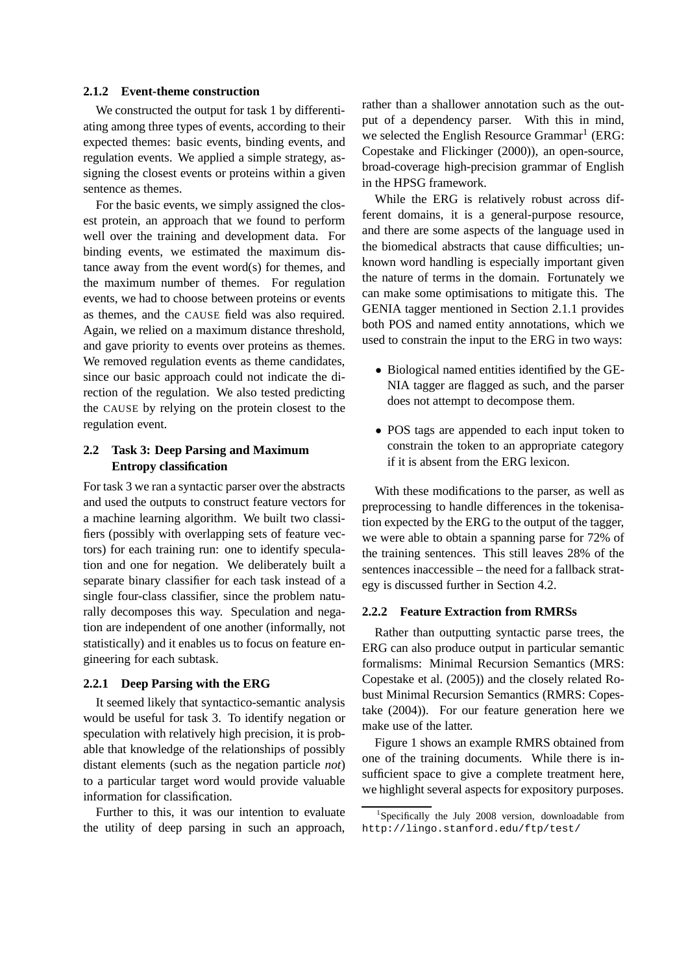### **2.1.2 Event-theme construction**

We constructed the output for task 1 by differentiating among three types of events, according to their expected themes: basic events, binding events, and regulation events. We applied a simple strategy, assigning the closest events or proteins within a given sentence as themes.

For the basic events, we simply assigned the closest protein, an approach that we found to perform well over the training and development data. For binding events, we estimated the maximum distance away from the event word(s) for themes, and the maximum number of themes. For regulation events, we had to choose between proteins or events as themes, and the CAUSE field was also required. Again, we relied on a maximum distance threshold, and gave priority to events over proteins as themes. We removed regulation events as theme candidates, since our basic approach could not indicate the direction of the regulation. We also tested predicting the CAUSE by relying on the protein closest to the regulation event.

# **2.2 Task 3: Deep Parsing and Maximum Entropy classification**

For task 3 we ran a syntactic parser over the abstracts and used the outputs to construct feature vectors for a machine learning algorithm. We built two classifiers (possibly with overlapping sets of feature vectors) for each training run: one to identify speculation and one for negation. We deliberately built a separate binary classifier for each task instead of a single four-class classifier, since the problem naturally decomposes this way. Speculation and negation are independent of one another (informally, not statistically) and it enables us to focus on feature engineering for each subtask.

#### **2.2.1 Deep Parsing with the ERG**

It seemed likely that syntactico-semantic analysis would be useful for task 3. To identify negation or speculation with relatively high precision, it is probable that knowledge of the relationships of possibly distant elements (such as the negation particle *not*) to a particular target word would provide valuable information for classification.

Further to this, it was our intention to evaluate the utility of deep parsing in such an approach,

rather than a shallower annotation such as the output of a dependency parser. With this in mind, we selected the English Resource Grammar<sup>1</sup> (ERG: Copestake and Flickinger (2000)), an open-source, broad-coverage high-precision grammar of English in the HPSG framework.

While the ERG is relatively robust across different domains, it is a general-purpose resource, and there are some aspects of the language used in the biomedical abstracts that cause difficulties; unknown word handling is especially important given the nature of terms in the domain. Fortunately we can make some optimisations to mitigate this. The GENIA tagger mentioned in Section 2.1.1 provides both POS and named entity annotations, which we used to constrain the input to the ERG in two ways:

- Biological named entities identified by the GE-NIA tagger are flagged as such, and the parser does not attempt to decompose them.
- POS tags are appended to each input token to constrain the token to an appropriate category if it is absent from the ERG lexicon.

With these modifications to the parser, as well as preprocessing to handle differences in the tokenisation expected by the ERG to the output of the tagger, we were able to obtain a spanning parse for 72% of the training sentences. This still leaves 28% of the sentences inaccessible – the need for a fallback strategy is discussed further in Section 4.2.

### **2.2.2 Feature Extraction from RMRSs**

Rather than outputting syntactic parse trees, the ERG can also produce output in particular semantic formalisms: Minimal Recursion Semantics (MRS: Copestake et al. (2005)) and the closely related Robust Minimal Recursion Semantics (RMRS: Copestake (2004)). For our feature generation here we make use of the latter.

Figure 1 shows an example RMRS obtained from one of the training documents. While there is insufficient space to give a complete treatment here, we highlight several aspects for expository purposes.

<sup>&</sup>lt;sup>1</sup>Specifically the July 2008 version, downloadable from http://lingo.stanford.edu/ftp/test/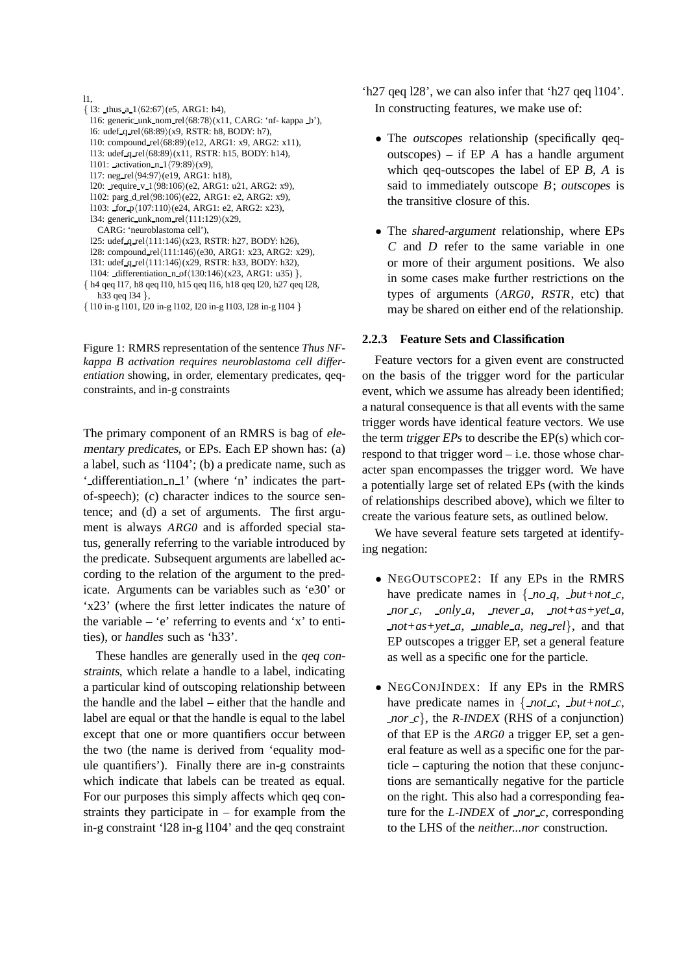```
l1,
\{ 13: \text{thus a } 1 \langle 62:67 \rangle \text{ (e5, ARG1: h4)},\}l16: generic_unk_nom_rel\langle 68:78 \rangle(x11, CARG: 'nf- kappa _b'),
  l6: udef q rel(68:89)(x9, RSTR: h8, BODY: h7),
 l10: compound_rel(68:89)(e12, ARG1: x9, ARG2: x11),113: udef q rel(68:89)(x11, RSTR: h15, BODY: h14),
 l101: activation n 1\langle 79:89\rangle(x9),
 l17: neg_{rel}(94:97)(e19, ARG1: h18),
 l20: require v 1/98:106/(e2, ARG1: u21, ARG2: x9),
 l102: parg_d_rel(98:106)(e22, ARG1: e2, ARG2: x9),
 l103: for p(107:110)(e24, ARG1: e2, ARG2: x23),
 134: generic_unk_nom_rel\langle111:129\rangle(x29,
   CARG: 'neuroblastoma cell'),
  l25: udef q rel(111:146)(x23, RSTR: h27, BODY: h26),
 128: compound_rel\langle 111:146 \rangle(e30, ARG1: x23, ARG2: x29),
 131: udef q rel(111:146)(x29, RSTR: h33, BODY: h32),
 l104: differentiation n of(130:146)(x23, ARG1: u35),
{ h4 qeq l17, h8 qeq l10, h15 qeq l16, h18 qeq l20, h27 qeq l28,
   h33 qeq l34 },
```
Figure 1: RMRS representation of the sentence *Thus NFkappa B activation requires neuroblastoma cell differentiation* showing, in order, elementary predicates, qeqconstraints, and in-g constraints

The primary component of an RMRS is bag of elementary predicates, or EPs. Each EP shown has: (a) a label, such as 'l104'; (b) a predicate name, such as ' differentiation n<sub>-1</sub>' (where 'n' indicates the partof-speech); (c) character indices to the source sentence; and (d) a set of arguments. The first argument is always ARG0 and is afforded special status, generally referring to the variable introduced by the predicate. Subsequent arguments are labelled according to the relation of the argument to the predicate. Arguments can be variables such as 'e30' or 'x23' (where the first letter indicates the nature of the variable – 'e' referring to events and 'x' to entities), or handles such as 'h33'.

These handles are generally used in the qeq constraints, which relate a handle to a label, indicating a particular kind of outscoping relationship between the handle and the label – either that the handle and label are equal or that the handle is equal to the label except that one or more quantifiers occur between the two (the name is derived from 'equality module quantifiers'). Finally there are in-g constraints which indicate that labels can be treated as equal. For our purposes this simply affects which qeq constraints they participate in  $-$  for example from the in-g constraint 'l28 in-g l104' and the qeq constraint

- 'h27 qeq l28', we can also infer that 'h27 qeq l104'. In constructing features, we make use of:
	- The *outscopes* relationship (specifically qeqoutscopes) – if  $EP$  A has a handle argument which qeq-outscopes the label of EP B, A is said to immediately outscope <sup>B</sup>; outscopes is the transitive closure of this.
	- The shared-argument relationship, where EPs <sup>C</sup> and <sup>D</sup> refer to the same variable in one or more of their argument positions. We also in some cases make further restrictions on the types of arguments (ARG0, RSTR, etc) that may be shared on either end of the relationship.

### **2.2.3 Feature Sets and Classification**

Feature vectors for a given event are constructed on the basis of the trigger word for the particular event, which we assume has already been identified; a natural consequence is that all events with the same trigger words have identical feature vectors. We use the term trigger EPs to describe the EP(s) which correspond to that trigger word – i.e. those whose character span encompasses the trigger word. We have a potentially large set of related EPs (with the kinds of relationships described above), which we filter to create the various feature sets, as outlined below.

We have several feature sets targeted at identifying negation:

- NEGOUTSCOPE2: If any EPs in the RMRS have predicate names in  $\{no_q, \textit{but}+not_c,$  $\text{nor } c$ ,  $\text{only } a$ ,  $\text{never } a$ ,  $\text{not}+\text{as}+\text{vet } a$ , *not+as+yet a*, *unable a*, *neg rel*}, and that EP outscopes a trigger EP, set a general feature as well as a specific one for the particle.
- NEGCONJINDEX: If any EPs in the RMRS have predicate names in  $\{$ *not\_c*, *but+not\_c*, *nor*  $c$ , the R-INDEX (RHS of a conjunction) of that EP is the ARG0 a trigger EP, set a general feature as well as a specific one for the particle – capturing the notion that these conjunctions are semantically negative for the particle on the right. This also had a corresponding feature for the L-INDEX of *nor c*, corresponding to the LHS of the *neither...nor* construction.

<sup>{</sup> l10 in-g l101, l20 in-g l102, l20 in-g l103, l28 in-g l104 }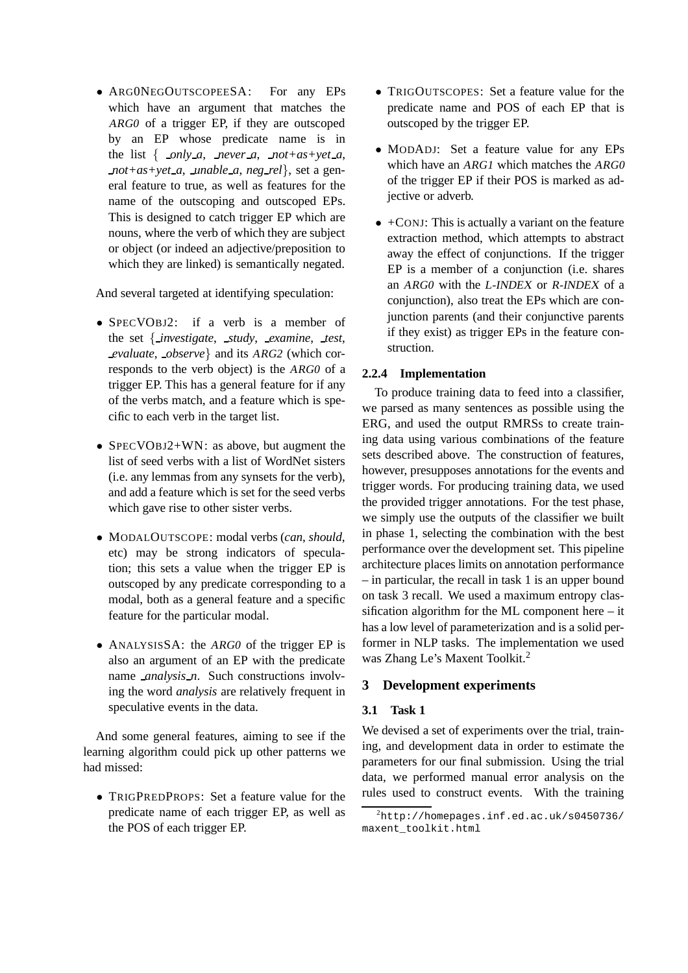• ARG0NEGOUTSCOPEESA: For any EPs which have an argument that matches the ARG0 of a trigger EP, if they are outscoped by an EP whose predicate name is in the list  $\{\underline{\hspace{6pt}}\ \textit{only\_a}, \textit{never\_a}, \textit{not+as+yet\_a},\}$ *not+as+yet a*, *unable a*, *neg rel*}, set a general feature to true, as well as features for the name of the outscoping and outscoped EPs. This is designed to catch trigger EP which are nouns, where the verb of which they are subject or object (or indeed an adjective/preposition to which they are linked) is semantically negated.

And several targeted at identifying speculation:

- SPECVOBJ2: if a verb is a member of the set { *investigate*, *study*, *examine*, *test*, *evaluate*, *observe*} and its ARG2 (which corresponds to the verb object) is the ARG0 of a trigger EP. This has a general feature for if any of the verbs match, and a feature which is specific to each verb in the target list.
- SPECVOBJ2+WN: as above, but augment the list of seed verbs with a list of WordNet sisters (i.e. any lemmas from any synsets for the verb), and add a feature which is set for the seed verbs which gave rise to other sister verbs.
- MODALOUTSCOPE: modal verbs (*can*, *should*, etc) may be strong indicators of speculation; this sets a value when the trigger EP is outscoped by any predicate corresponding to a modal, both as a general feature and a specific feature for the particular modal.
- ANALYSISSA: the ARGO of the trigger EP is also an argument of an EP with the predicate name *analysis n*. Such constructions involving the word *analysis* are relatively frequent in speculative events in the data.

And some general features, aiming to see if the learning algorithm could pick up other patterns we had missed:

• TRIGPREDPROPS: Set a feature value for the predicate name of each trigger EP, as well as the POS of each trigger EP.

- TRIGOUTSCOPES: Set a feature value for the predicate name and POS of each EP that is outscoped by the trigger EP.
- MODADJ: Set a feature value for any EPs which have an ARG1 which matches the ARG0 of the trigger EP if their POS is marked as adjective or adverb.
- $\bullet$  +CONJ: This is actually a variant on the feature extraction method, which attempts to abstract away the effect of conjunctions. If the trigger EP is a member of a conjunction (i.e. shares an ARG0 with the L-INDEX or R-INDEX of a conjunction), also treat the EPs which are conjunction parents (and their conjunctive parents if they exist) as trigger EPs in the feature construction.

# **2.2.4 Implementation**

To produce training data to feed into a classifier, we parsed as many sentences as possible using the ERG, and used the output RMRSs to create training data using various combinations of the feature sets described above. The construction of features, however, presupposes annotations for the events and trigger words. For producing training data, we used the provided trigger annotations. For the test phase, we simply use the outputs of the classifier we built in phase 1, selecting the combination with the best performance over the development set. This pipeline architecture places limits on annotation performance – in particular, the recall in task 1 is an upper bound on task 3 recall. We used a maximum entropy classification algorithm for the ML component here – it has a low level of parameterization and is a solid performer in NLP tasks. The implementation we used was Zhang Le's Maxent Toolkit.<sup>2</sup>

# **3 Development experiments**

# **3.1 Task 1**

We devised a set of experiments over the trial, training, and development data in order to estimate the parameters for our final submission. Using the trial data, we performed manual error analysis on the rules used to construct events. With the training

 $^{2}$ http://homepages.inf.ed.ac.uk/s0450736/ maxent\_toolkit.html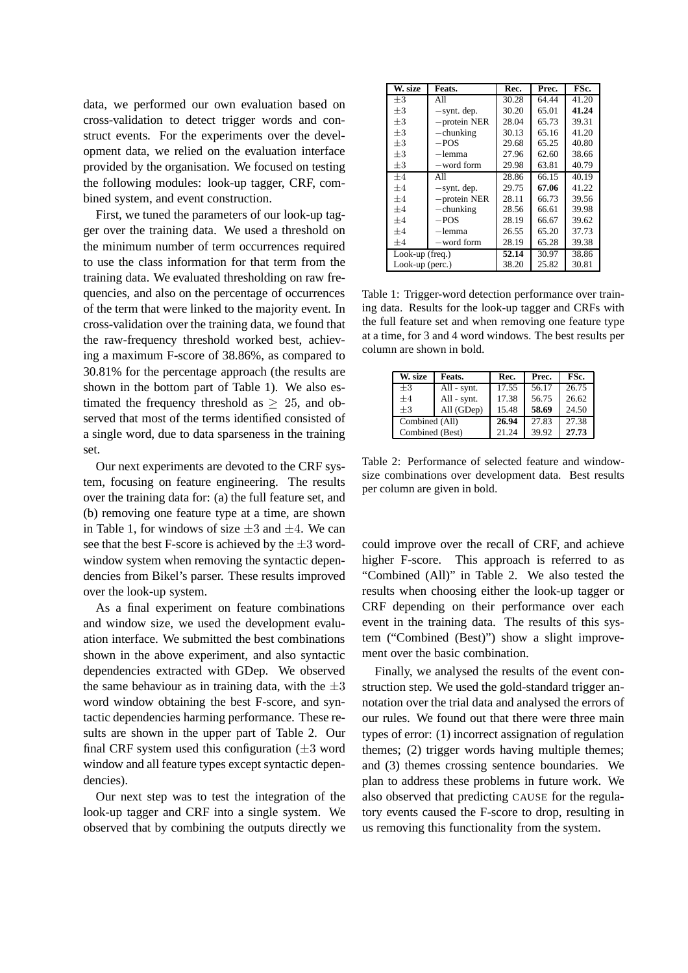data, we performed our own evaluation based on cross-validation to detect trigger words and construct events. For the experiments over the development data, we relied on the evaluation interface provided by the organisation. We focused on testing the following modules: look-up tagger, CRF, combined system, and event construction.

First, we tuned the parameters of our look-up tagger over the training data. We used a threshold on the minimum number of term occurrences required to use the class information for that term from the training data. We evaluated thresholding on raw frequencies, and also on the percentage of occurrences of the term that were linked to the majority event. In cross-validation over the training data, we found that the raw-frequency threshold worked best, achieving a maximum F-score of 38.86%, as compared to 30.81% for the percentage approach (the results are shown in the bottom part of Table 1). We also estimated the frequency threshold as  $\geq 25$ , and observed that most of the terms identified consisted of a single word, due to data sparseness in the training set.

Our next experiments are devoted to the CRF system, focusing on feature engineering. The results over the training data for: (a) the full feature set, and (b) removing one feature type at a time, are shown in Table 1, for windows of size  $\pm 3$  and  $\pm 4$ . We can see that the best F-score is achieved by the  $\pm 3$  wordwindow system when removing the syntactic dependencies from Bikel's parser. These results improved over the look-up system.

As a final experiment on feature combinations and window size, we used the development evaluation interface. We submitted the best combinations shown in the above experiment, and also syntactic dependencies extracted with GDep. We observed the same behaviour as in training data, with the  $\pm 3$ word window obtaining the best F-score, and syntactic dependencies harming performance. These results are shown in the upper part of Table 2. Our final CRF system used this configuration  $(\pm 3 \text{ word})$ window and all feature types except syntactic dependencies).

Our next step was to test the integration of the look-up tagger and CRF into a single system. We observed that by combining the outputs directly we

| W. size           | Feats.          | Rec.  | Prec. | FSc.  |
|-------------------|-----------------|-------|-------|-------|
| $+3$              | All             | 30.28 | 64.44 | 41.20 |
| $+3$              | $-synt.$ dep.   | 30.20 | 65.01 | 41.24 |
| $+3$              | $-$ protein NER | 28.04 | 65.73 | 39.31 |
| $\pm 3$           | $-$ chunking    | 30.13 | 65.16 | 41.20 |
| $+3$              | $-$ POS         | 29.68 | 65.25 | 40.80 |
| $+3$              | -lemma          | 27.96 | 62.60 | 38.66 |
| $\pm 3$           | -word form      | 29.98 | 63.81 | 40.79 |
| $+4$              | All             | 28.86 | 66.15 | 40.19 |
| $+4$              | $-synt.$ dep.   | 29.75 | 67.06 | 41.22 |
| $+4$              | $-$ protein NER | 28.11 | 66.73 | 39.56 |
| $+4$              | $-$ chunking    | 28.56 | 66.61 | 39.98 |
| $+4$              | $-POS$          | 28.19 | 66.67 | 39.62 |
| $+4$              | -lemma          | 26.55 | 65.20 | 37.73 |
| $+4$              | -word form      | 28.19 | 65.28 | 39.38 |
| Look-up $freq.$ ) |                 | 52.14 | 30.97 | 38.86 |
| Look-up (perc.)   |                 | 38.20 | 25.82 | 30.81 |

Table 1: Trigger-word detection performance over training data. Results for the look-up tagger and CRFs with the full feature set and when removing one feature type at a time, for 3 and 4 word windows. The best results per column are shown in bold.

| W. size         | Feats.      | Rec.  | Prec. | FSc.  |
|-----------------|-------------|-------|-------|-------|
| $\pm 3$         | All - synt. | 17.55 | 56.17 | 26.75 |
| $+4$            | All - synt. | 17.38 | 56.75 | 26.62 |
| $+3$            | All (GDep)  | 15.48 | 58.69 | 24.50 |
| Combined (All)  |             | 26.94 | 27.83 | 27.38 |
| Combined (Best) |             | 21.24 | 39.92 | 27.73 |

Table 2: Performance of selected feature and windowsize combinations over development data. Best results per column are given in bold.

could improve over the recall of CRF, and achieve higher F-score. This approach is referred to as "Combined (All)" in Table 2. We also tested the results when choosing either the look-up tagger or CRF depending on their performance over each event in the training data. The results of this system ("Combined (Best)") show a slight improvement over the basic combination.

Finally, we analysed the results of the event construction step. We used the gold-standard trigger annotation over the trial data and analysed the errors of our rules. We found out that there were three main types of error: (1) incorrect assignation of regulation themes; (2) trigger words having multiple themes; and (3) themes crossing sentence boundaries. We plan to address these problems in future work. We also observed that predicting CAUSE for the regulatory events caused the F-score to drop, resulting in us removing this functionality from the system.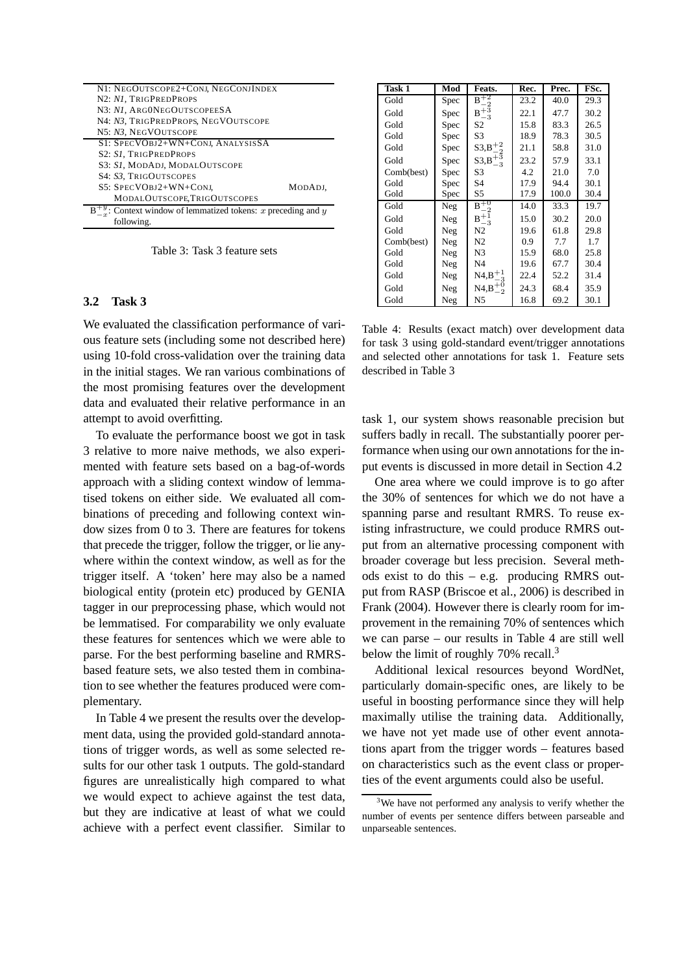| N1: NEGOUTSCOPE2+CONJ, NEGCONJINDEX                        |         |
|------------------------------------------------------------|---------|
| N2: NI, TRIGPREDPROPS                                      |         |
| N3: NI, ARGONEGOUTSCOPEESA                                 |         |
| N4: N3, TRIGPREDPROPS, NEGVOUTSCOPE                        |         |
| N5: N3. NEGVOUTSCOPE                                       |         |
| S1: SPECVOBJ2+WN+CONJ, ANALYSISSA                          |         |
| S2: S1, TRIGPREDPROPS                                      |         |
| S3: S1, MODADJ, MODALOUTSCOPE                              |         |
| S4: S3. TRIGOUTSCOPES                                      |         |
| S5: SPECVOBJ2+WN+CONJ,                                     | MODADJ. |
| MODALOUTSCOPE, TRIGOUTSCOPES                               |         |
| Context window of lemmatized tokens: $x$ preceding and $y$ |         |
| following.                                                 |         |

Table 3: Task 3 feature sets

## **3.2 Task 3**

We evaluated the classification performance of various feature sets (including some not described here) using 10-fold cross-validation over the training data in the initial stages. We ran various combinations of the most promising features over the development data and evaluated their relative performance in an attempt to avoid overfitting.

To evaluate the performance boost we got in task 3 relative to more naive methods, we also experimented with feature sets based on a bag-of-words approach with a sliding context window of lemmatised tokens on either side. We evaluated all combinations of preceding and following context window sizes from 0 to 3. There are features for tokens that precede the trigger, follow the trigger, or lie anywhere within the context window, as well as for the trigger itself. A 'token' here may also be a named biological entity (protein etc) produced by GENIA tagger in our preprocessing phase, which would not be lemmatised. For comparability we only evaluate these features for sentences which we were able to parse. For the best performing baseline and RMRSbased feature sets, we also tested them in combination to see whether the features produced were complementary.

In Table 4 we present the results over the development data, using the provided gold-standard annotations of trigger words, as well as some selected results for our other task 1 outputs. The gold-standard figures are unrealistically high compared to what we would expect to achieve against the test data, but they are indicative at least of what we could achieve with a perfect event classifier. Similar to

| Task 1     | Mod  | Feats.            | Rec. | Prec. | FSc. |
|------------|------|-------------------|------|-------|------|
| Gold       | Spec | $B+2$             | 23.2 | 40.0  | 29.3 |
| Gold       | Spec | $B^{+5}$<br>-3    | 22.1 | 47.7  | 30.2 |
| Gold       | Spec | S2                | 15.8 | 83.3  | 26.5 |
| Gold       | Spec | S3                | 18.9 | 78.3  | 30.5 |
| Gold       | Spec | $S3, B_{-2}^{+2}$ | 21.1 | 58.8  | 31.0 |
| Gold       | Spec | $S3, B_{-3}^{+5}$ | 23.2 | 57.9  | 33.1 |
| Comb(best) | Spec | S3                | 4.2  | 21.0  | 7.0  |
| Gold       | Spec | S4                | 17.9 | 94.4  | 30.1 |
| Gold       | Spec | S5                | 17.9 | 100.0 | 30.4 |
| Gold       | Neg  | $B_{+0}$          | 14.0 | 33.3  | 19.7 |
| Gold       | Neg  | $B^{+1}$<br>$-3$  | 15.0 | 30.2  | 20.0 |
| Gold       | Neg  | N <sub>2</sub>    | 19.6 | 61.8  | 29.8 |
| Comb(best) | Neg  | N <sub>2</sub>    | 0.9  | 7.7   | 1.7  |
| Gold       | Neg  | N3                | 15.9 | 68.0  | 25.8 |
| Gold       | Neg  | N4                | 19.6 | 67.7  | 30.4 |
| Gold       | Neg  | $N4,B_{-3}^{+1}$  | 22.4 | 52.2  | 31.4 |
| Gold       | Neg  | $N4, B_{-2}^{+0}$ | 24.3 | 68.4  | 35.9 |
| Gold       | Neg  | N5                | 16.8 | 69.2  | 30.1 |

Table 4: Results (exact match) over development data for task 3 using gold-standard event/trigger annotations and selected other annotations for task 1. Feature sets described in Table 3

task 1, our system shows reasonable precision but suffers badly in recall. The substantially poorer performance when using our own annotations for the input events is discussed in more detail in Section 4.2

One area where we could improve is to go after the 30% of sentences for which we do not have a spanning parse and resultant RMRS. To reuse existing infrastructure, we could produce RMRS output from an alternative processing component with broader coverage but less precision. Several methods exist to do this – e.g. producing RMRS output from RASP (Briscoe et al., 2006) is described in Frank (2004). However there is clearly room for improvement in the remaining 70% of sentences which we can parse – our results in Table 4 are still well below the limit of roughly  $70\%$  recall.<sup>3</sup>

Additional lexical resources beyond WordNet, particularly domain-specific ones, are likely to be useful in boosting performance since they will help maximally utilise the training data. Additionally, we have not yet made use of other event annotations apart from the trigger words – features based on characteristics such as the event class or properties of the event arguments could also be useful.

<sup>&</sup>lt;sup>3</sup>We have not performed any analysis to verify whether the number of events per sentence differs between parseable and unparseable sentences.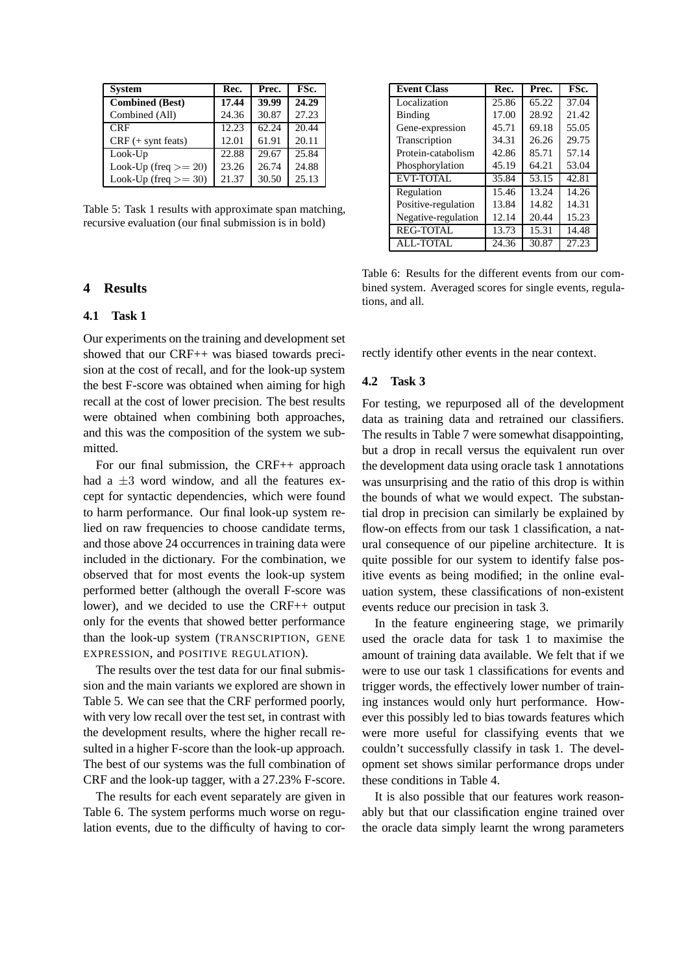| <b>System</b>           | Rec.  | Prec. | FSc.  |  |
|-------------------------|-------|-------|-------|--|
| <b>Combined (Best)</b>  | 17.44 | 39.99 | 24.29 |  |
| Combined (All)          | 24.36 | 30.87 | 27.23 |  |
| <b>CRF</b>              | 12.23 | 62.24 | 20.44 |  |
| $CRF$ (+ synt feats)    | 12.01 | 61.91 | 20.11 |  |
| $Look$ - $Up$           | 22.88 | 29.67 | 25.84 |  |
| Look-Up (freq $>= 20$ ) | 23.26 | 26.74 | 24.88 |  |
| Look-Up (freq $>=$ 30)  | 21.37 | 30.50 | 25.13 |  |

Table 5: Task 1 results with approximate span matching, recursive evaluation (our final submission is in bold)

## **4 Results**

### **4.1 Task 1**

Our experiments on the training and development set showed that our CRF++ was biased towards precision at the cost of recall, and for the look-up system the best F-score was obtained when aiming for high recall at the cost of lower precision. The best results were obtained when combining both approaches, and this was the composition of the system we submitted.

For our final submission, the CRF++ approach had a  $\pm 3$  word window, and all the features except for syntactic dependencies, which were found to harm performance. Our final look-up system relied on raw frequencies to choose candidate terms, and those above 24 occurrences in training data were included in the dictionary. For the combination, we observed that for most events the look-up system performed better (although the overall F-score was lower), and we decided to use the CRF++ output only for the events that showed better performance than the look-up system (TRANSCRIPTION, GENE EXPRESSION, and POSITIVE REGULATION).

The results over the test data for our final submission and the main variants we explored are shown in Table 5. We can see that the CRF performed poorly, with very low recall over the test set, in contrast with the development results, where the higher recall resulted in a higher F-score than the look-up approach. The best of our systems was the full combination of CRF and the look-up tagger, with a 27.23% F-score.

The results for each event separately are given in Table 6. The system performs much worse on regulation events, due to the difficulty of having to cor-

| <b>Event Class</b>  | Rec.  | Prec. | FSc.  |
|---------------------|-------|-------|-------|
| Localization        | 25.86 | 65.22 | 37.04 |
| Binding             | 17.00 | 28.92 | 21.42 |
| Gene-expression     | 45.71 | 69.18 | 55.05 |
| Transcription       | 34.31 | 26.26 | 29.75 |
| Protein-catabolism  | 42.86 | 85.71 | 57.14 |
| Phosphorylation     | 45.19 | 64.21 | 53.04 |
| EVT-TOTAL           | 35.84 | 53.15 | 42.81 |
| Regulation          | 15.46 | 13.24 | 14.26 |
| Positive-regulation | 13.84 | 14.82 | 14.31 |
| Negative-regulation | 12.14 | 20.44 | 15.23 |
| <b>REG-TOTAL</b>    | 13.73 | 15.31 | 14.48 |
| <b>ALL-TOTAL</b>    | 24.36 | 30.87 | 27.23 |

Table 6: Results for the different events from our combined system. Averaged scores for single events, regulations, and all.

rectly identify other events in the near context.

#### **4.2 Task 3**

For testing, we repurposed all of the development data as training data and retrained our classifiers. The results in Table 7 were somewhat disappointing, but a drop in recall versus the equivalent run over the development data using oracle task 1 annotations was unsurprising and the ratio of this drop is within the bounds of what we would expect. The substantial drop in precision can similarly be explained by flow-on effects from our task 1 classification, a natural consequence of our pipeline architecture. It is quite possible for our system to identify false positive events as being modified; in the online evaluation system, these classifications of non-existent events reduce our precision in task 3.

In the feature engineering stage, we primarily used the oracle data for task 1 to maximise the amount of training data available. We felt that if we were to use our task 1 classifications for events and trigger words, the effectively lower number of training instances would only hurt performance. However this possibly led to bias towards features which were more useful for classifying events that we couldn't successfully classify in task 1. The development set shows similar performance drops under these conditions in Table 4.

It is also possible that our features work reasonably but that our classification engine trained over the oracle data simply learnt the wrong parameters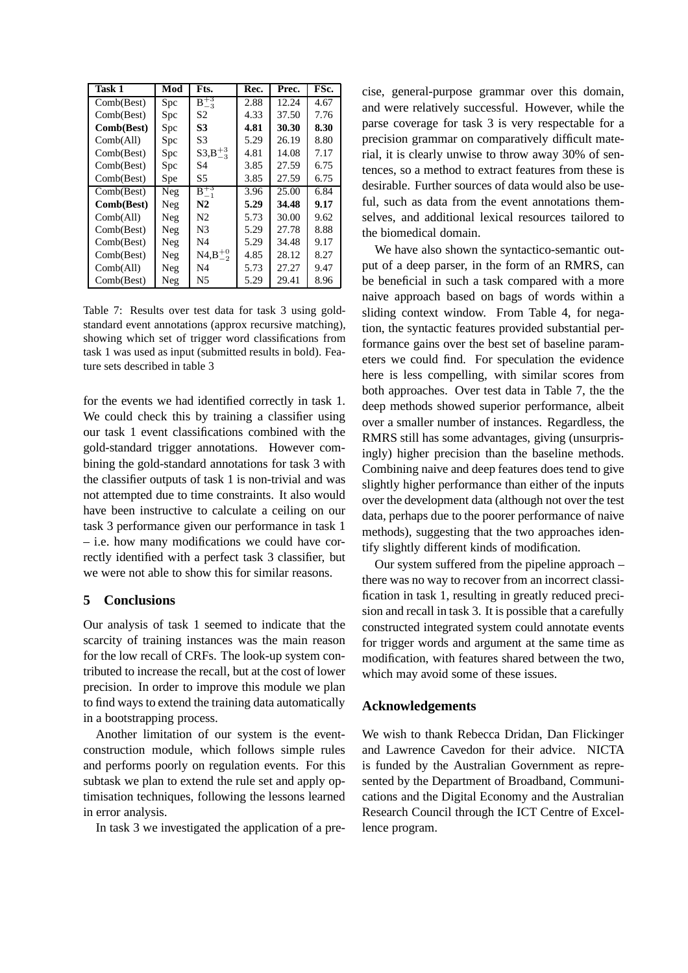| Task 1     | Mod | Fts.                | Rec. | Prec. | FSc. |
|------------|-----|---------------------|------|-------|------|
| Comb(Best) | Spc | $B_{\pm 3}$<br>$-3$ | 2.88 | 12.24 | 4.67 |
| Comb(Best) | Spc | S <sub>2</sub>      | 4.33 | 37.50 | 7.76 |
| Comb(Best) | Spc | S3                  | 4.81 | 30.30 | 8.30 |
| Comb(All)  | Spc | S3                  | 5.29 | 26.19 | 8.80 |
| Comb(Best) | Spc | $S3, B_{-3}^{+3}$   | 4.81 | 14.08 | 7.17 |
| Comb(Best) | Spc | S4                  | 3.85 | 27.59 | 6.75 |
| Comb(Best) | Spe | S5                  | 3.85 | 27.59 | 6.75 |
| Comb(Best) | Neg | $B_{-1}^{+3}$       | 3.96 | 25.00 | 6.84 |
| Comb(Best) | Neg | N2                  | 5.29 | 34.48 | 9.17 |
| Comb(All)  | Neg | N <sub>2</sub>      | 5.73 | 30.00 | 9.62 |
| Comb(Best) | Neg | N <sub>3</sub>      | 5.29 | 27.78 | 8.88 |
| Comb(Best) | Neg | N4                  | 5.29 | 34.48 | 9.17 |
| Comb(Best) | Neg | $NA, B^{+0}_{-2}$   | 4.85 | 28.12 | 8.27 |
| Comb(All)  | Neg | N4                  | 5.73 | 27.27 | 9.47 |
| Comb(Best) | Neg | N5                  | 5.29 | 29.41 | 8.96 |

Table 7: Results over test data for task 3 using goldstandard event annotations (approx recursive matching), showing which set of trigger word classifications from task 1 was used as input (submitted results in bold). Feature sets described in table 3

for the events we had identified correctly in task 1. We could check this by training a classifier using our task 1 event classifications combined with the gold-standard trigger annotations. However combining the gold-standard annotations for task 3 with the classifier outputs of task 1 is non-trivial and was not attempted due to time constraints. It also would have been instructive to calculate a ceiling on our task 3 performance given our performance in task 1 – i.e. how many modifications we could have correctly identified with a perfect task 3 classifier, but we were not able to show this for similar reasons.

# **5 Conclusions**

Our analysis of task 1 seemed to indicate that the scarcity of training instances was the main reason for the low recall of CRFs. The look-up system contributed to increase the recall, but at the cost of lower precision. In order to improve this module we plan to find ways to extend the training data automatically in a bootstrapping process.

Another limitation of our system is the eventconstruction module, which follows simple rules and performs poorly on regulation events. For this subtask we plan to extend the rule set and apply optimisation techniques, following the lessons learned in error analysis.

In task 3 we investigated the application of a pre-

cise, general-purpose grammar over this domain, and were relatively successful. However, while the parse coverage for task 3 is very respectable for a precision grammar on comparatively difficult material, it is clearly unwise to throw away 30% of sentences, so a method to extract features from these is desirable. Further sources of data would also be useful, such as data from the event annotations themselves, and additional lexical resources tailored to the biomedical domain.

We have also shown the syntactico-semantic output of a deep parser, in the form of an RMRS, can be beneficial in such a task compared with a more naive approach based on bags of words within a sliding context window. From Table 4, for negation, the syntactic features provided substantial performance gains over the best set of baseline parameters we could find. For speculation the evidence here is less compelling, with similar scores from both approaches. Over test data in Table 7, the the deep methods showed superior performance, albeit over a smaller number of instances. Regardless, the RMRS still has some advantages, giving (unsurprisingly) higher precision than the baseline methods. Combining naive and deep features does tend to give slightly higher performance than either of the inputs over the development data (although not over the test data, perhaps due to the poorer performance of naive methods), suggesting that the two approaches identify slightly different kinds of modification.

Our system suffered from the pipeline approach – there was no way to recover from an incorrect classification in task 1, resulting in greatly reduced precision and recall in task 3. It is possible that a carefully constructed integrated system could annotate events for trigger words and argument at the same time as modification, with features shared between the two, which may avoid some of these issues.

# **Acknowledgements**

We wish to thank Rebecca Dridan, Dan Flickinger and Lawrence Cavedon for their advice. NICTA is funded by the Australian Government as represented by the Department of Broadband, Communications and the Digital Economy and the Australian Research Council through the ICT Centre of Excellence program.